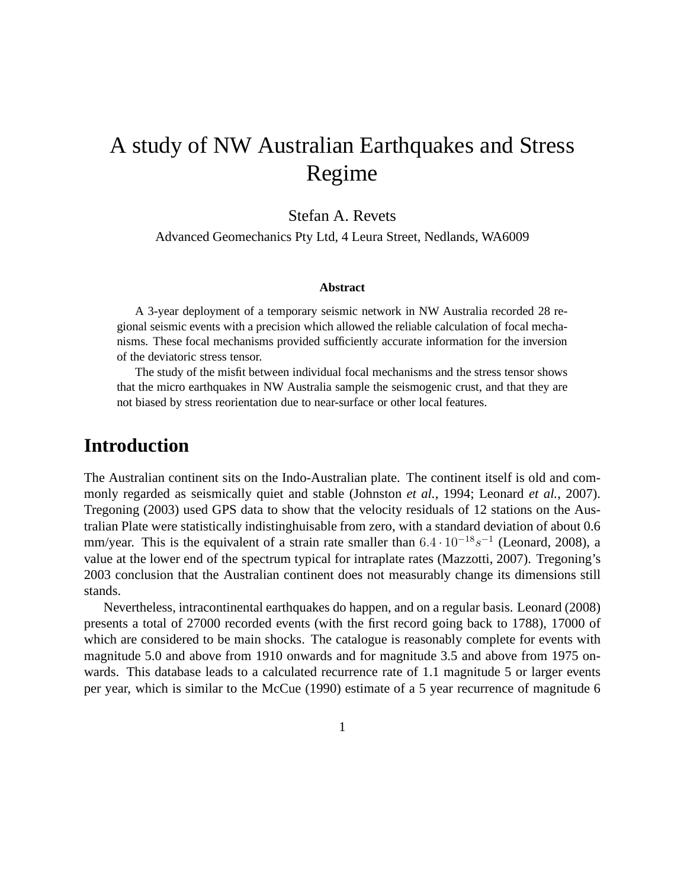# A study of NW Australian Earthquakes and Stress Regime

#### Stefan A. Revets

Advanced Geomechanics Pty Ltd, 4 Leura Street, Nedlands, WA6009

#### **Abstract**

A 3-year deployment of a temporary seismic network in NW Australia recorded 28 regional seismic events with a precision which allowed the reliable calculation of focal mechanisms. These focal mechanisms provided sufficiently accurate information for the inversion of the deviatoric stress tensor.

The study of the misfit between individual focal mechanisms and the stress tensor shows that the micro earthquakes in NW Australia sample the seismogenic crust, and that they are not biased by stress reorientation due to near-surface or other local features.

#### **Introduction**

The Australian continent sits on the Indo-Australian plate. The continent itself is old and commonly regarded as seismically quiet and stable (Johnston *et al.*, 1994; Leonard *et al.*, 2007). Tregoning (2003) used GPS data to show that the velocity residuals of 12 stations on the Australian Plate were statistically indistinghuisable from zero, with a standard deviation of about 0.6 mm/year. This is the equivalent of a strain rate smaller than  $6.4 \cdot 10^{-18} s^{-1}$  (Leonard, 2008), a value at the lower end of the spectrum typical for intraplate rates (Mazzotti, 2007). Tregoning's 2003 conclusion that the Australian continent does not measurably change its dimensions still stands.

Nevertheless, intracontinental earthquakes do happen, and on a regular basis. Leonard (2008) presents a total of 27000 recorded events (with the first record going back to 1788), 17000 of which are considered to be main shocks. The catalogue is reasonably complete for events with magnitude 5.0 and above from 1910 onwards and for magnitude 3.5 and above from 1975 onwards. This database leads to a calculated recurrence rate of 1.1 magnitude 5 or larger events per year, which is similar to the McCue (1990) estimate of a 5 year recurrence of magnitude 6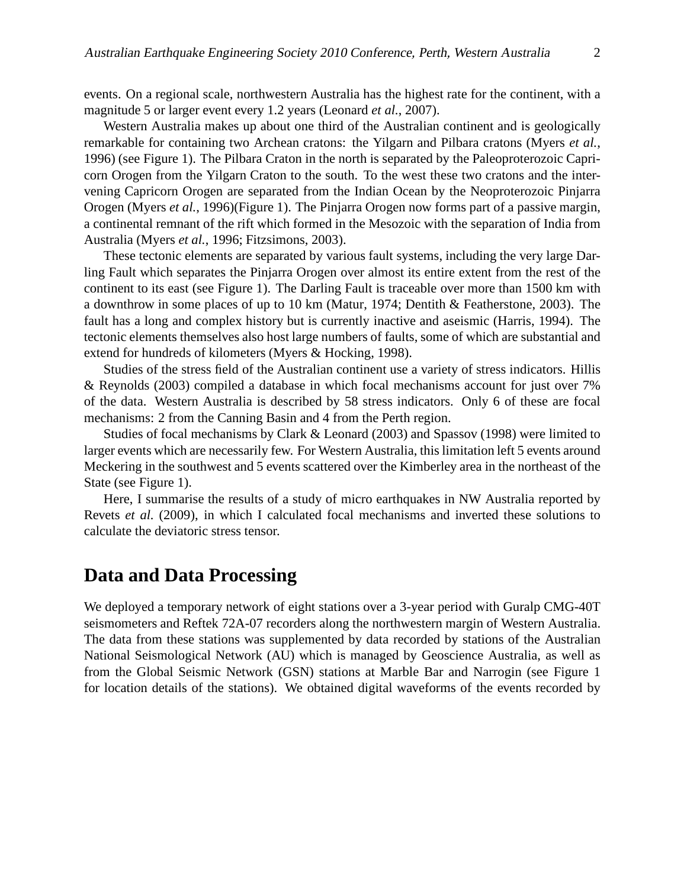events. On a regional scale, northwestern Australia has the highest rate for the continent, with a magnitude 5 or larger event every 1.2 years (Leonard *et al.*, 2007).

Western Australia makes up about one third of the Australian continent and is geologically remarkable for containing two Archean cratons: the Yilgarn and Pilbara cratons (Myers *et al.*, 1996) (see Figure 1). The Pilbara Craton in the north is separated by the Paleoproterozoic Capricorn Orogen from the Yilgarn Craton to the south. To the west these two cratons and the intervening Capricorn Orogen are separated from the Indian Ocean by the Neoproterozoic Pinjarra Orogen (Myers *et al.*, 1996)(Figure 1). The Pinjarra Orogen now forms part of a passive margin, a continental remnant of the rift which formed in the Mesozoic with the separation of India from Australia (Myers *et al.*, 1996; Fitzsimons, 2003).

These tectonic elements are separated by various fault systems, including the very large Darling Fault which separates the Pinjarra Orogen over almost its entire extent from the rest of the continent to its east (see Figure 1). The Darling Fault is traceable over more than 1500 km with a downthrow in some places of up to 10 km (Matur, 1974; Dentith & Featherstone, 2003). The fault has a long and complex history but is currently inactive and aseismic (Harris, 1994). The tectonic elements themselves also host large numbers of faults, some of which are substantial and extend for hundreds of kilometers (Myers & Hocking, 1998).

Studies of the stress field of the Australian continent use a variety of stress indicators. Hillis & Reynolds (2003) compiled a database in which focal mechanisms account for just over 7% of the data. Western Australia is described by 58 stress indicators. Only 6 of these are focal mechanisms: 2 from the Canning Basin and 4 from the Perth region.

Studies of focal mechanisms by Clark & Leonard (2003) and Spassov (1998) were limited to larger events which are necessarily few. For Western Australia, this limitation left 5 events around Meckering in the southwest and 5 events scattered over the Kimberley area in the northeast of the State (see Figure 1).

Here, I summarise the results of a study of micro earthquakes in NW Australia reported by Revets *et al.* (2009), in which I calculated focal mechanisms and inverted these solutions to calculate the deviatoric stress tensor.

#### **Data and Data Processing**

We deployed a temporary network of eight stations over a 3-year period with Guralp CMG-40T seismometers and Reftek 72A-07 recorders along the northwestern margin of Western Australia. The data from these stations was supplemented by data recorded by stations of the Australian National Seismological Network (AU) which is managed by Geoscience Australia, as well as from the Global Seismic Network (GSN) stations at Marble Bar and Narrogin (see Figure 1 for location details of the stations). We obtained digital waveforms of the events recorded by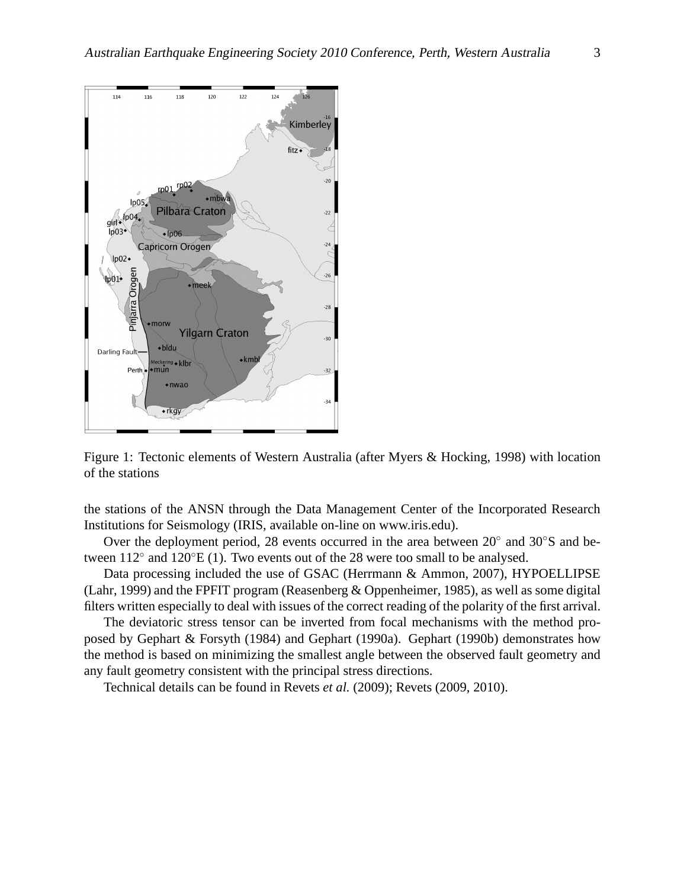

Figure 1: Tectonic elements of Western Australia (after Myers & Hocking, 1998) with location of the stations

the stations of the ANSN through the Data Management Center of the Incorporated Research Institutions for Seismology (IRIS, available on-line on www.iris.edu).

Over the deployment period, 28 events occurred in the area between 20° and 30°S and between  $112^{\circ}$  and  $120^{\circ}E(1)$ . Two events out of the 28 were too small to be analysed.

Data processing included the use of GSAC (Herrmann & Ammon, 2007), HYPOELLIPSE (Lahr, 1999) and the FPFIT program (Reasenberg & Oppenheimer, 1985), as well as some digital filters written especially to deal with issues of the correct reading of the polarity of the first arrival.

The deviatoric stress tensor can be inverted from focal mechanisms with the method proposed by Gephart & Forsyth (1984) and Gephart (1990a). Gephart (1990b) demonstrates how the method is based on minimizing the smallest angle between the observed fault geometry and any fault geometry consistent with the principal stress directions.

Technical details can be found in Revets *et al.* (2009); Revets (2009, 2010).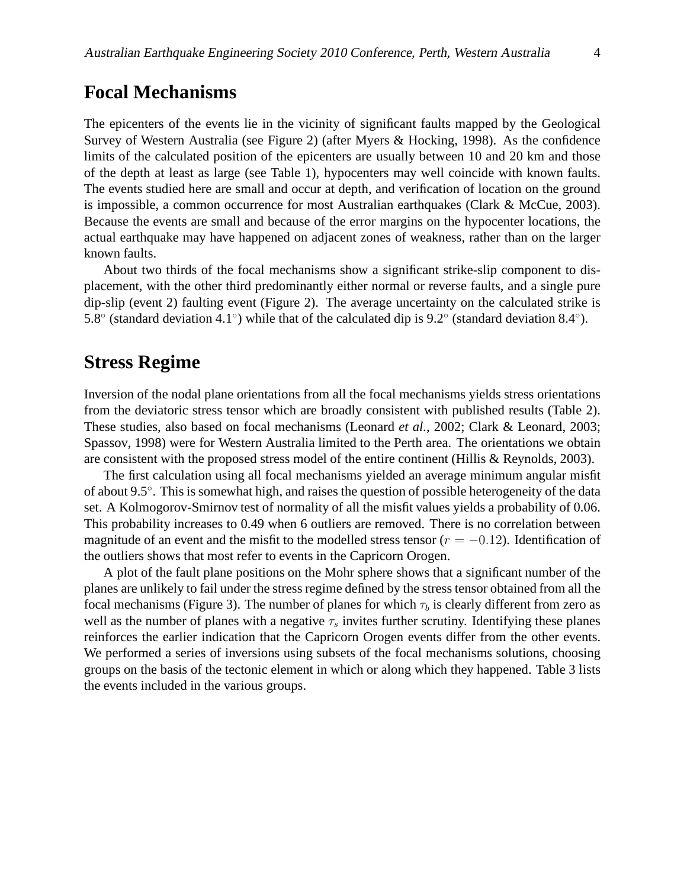#### **Focal Mechanisms**

The epicenters of the events lie in the vicinity of significant faults mapped by the Geological Survey of Western Australia (see Figure 2) (after Myers & Hocking, 1998). As the confidence limits of the calculated position of the epicenters are usually between 10 and 20 km and those of the depth at least as large (see Table 1), hypocenters may well coincide with known faults. The events studied here are small and occur at depth, and verification of location on the ground is impossible, a common occurrence for most Australian earthquakes (Clark & McCue, 2003). Because the events are small and because of the error margins on the hypocenter locations, the actual earthquake may have happened on adjacent zones of weakness, rather than on the larger known faults.

About two thirds of the focal mechanisms show a significant strike-slip component to displacement, with the other third predominantly either normal or reverse faults, and a single pure dip-slip (event 2) faulting event (Figure 2). The average uncertainty on the calculated strike is 5.8° (standard deviation 4.1°) while that of the calculated dip is 9.2° (standard deviation 8.4°).

#### **Stress Regime**

Inversion of the nodal plane orientations from all the focal mechanisms yields stress orientations from the deviatoric stress tensor which are broadly consistent with published results (Table 2). These studies, also based on focal mechanisms (Leonard *et al.*, 2002; Clark & Leonard, 2003; Spassov, 1998) were for Western Australia limited to the Perth area. The orientations we obtain are consistent with the proposed stress model of the entire continent (Hillis & Reynolds, 2003).

The first calculation using all focal mechanisms yielded an average minimum angular misfit of about 9.5°. This is somewhat high, and raises the question of possible heterogeneity of the data set. A Kolmogorov-Smirnov test of normality of all the misfit values yields a probability of 0.06. This probability increases to 0.49 when 6 outliers are removed. There is no correlation between magnitude of an event and the misfit to the modelled stress tensor ( $r = -0.12$ ). Identification of the outliers shows that most refer to events in the Capricorn Orogen.

A plot of the fault plane positions on the Mohr sphere shows that a significant number of the planes are unlikely to fail under the stress regime defined by the stress tensor obtained from all the focal mechanisms (Figure 3). The number of planes for which  $\tau_b$  is clearly different from zero as well as the number of planes with a negative  $\tau_s$  invites further scrutiny. Identifying these planes reinforces the earlier indication that the Capricorn Orogen events differ from the other events. We performed a series of inversions using subsets of the focal mechanisms solutions, choosing groups on the basis of the tectonic element in which or along which they happened. Table 3 lists the events included in the various groups.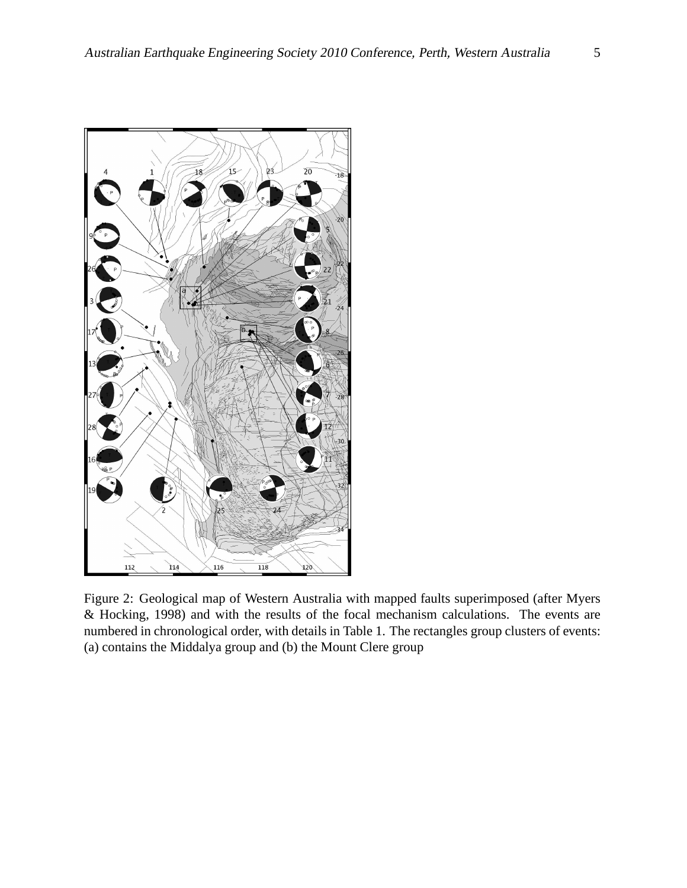

Figure 2: Geological map of Western Australia with mapped faults superimposed (after Myers & Hocking, 1998) and with the results of the focal mechanism calculations. The events are numbered in chronological order, with details in Table 1. The rectangles group clusters of events: (a) contains the Middalya group and (b) the Mount Clere group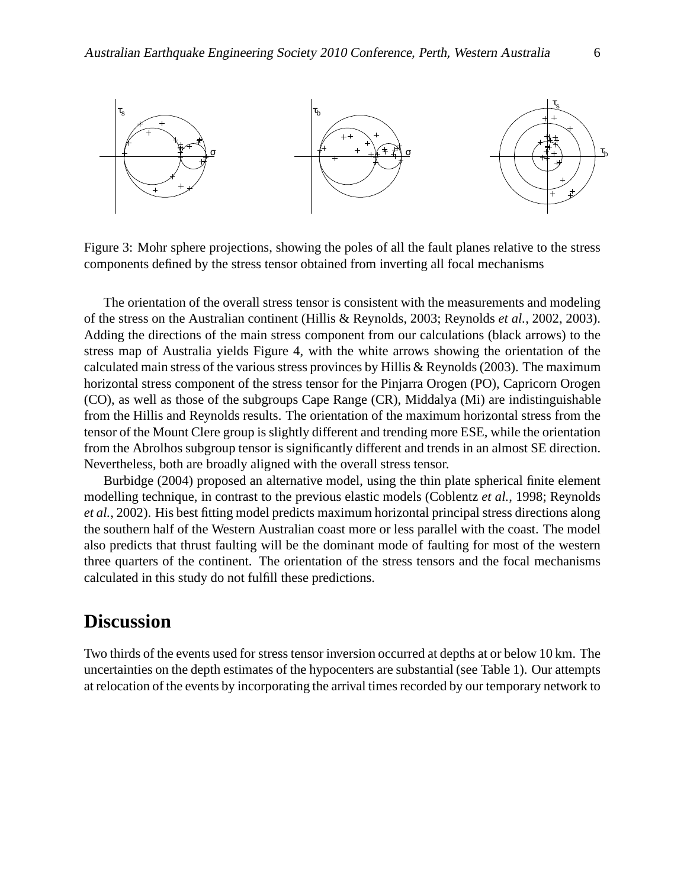

Figure 3: Mohr sphere projections, showing the poles of all the fault planes relative to the stress components defined by the stress tensor obtained from inverting all focal mechanisms

The orientation of the overall stress tensor is consistent with the measurements and modeling of the stress on the Australian continent (Hillis & Reynolds, 2003; Reynolds *et al.*, 2002, 2003). Adding the directions of the main stress component from our calculations (black arrows) to the stress map of Australia yields Figure 4, with the white arrows showing the orientation of the calculated main stress of the various stress provinces by Hillis & Reynolds (2003). The maximum horizontal stress component of the stress tensor for the Pinjarra Orogen (PO), Capricorn Orogen (CO), as well as those of the subgroups Cape Range (CR), Middalya (Mi) are indistinguishable from the Hillis and Reynolds results. The orientation of the maximum horizontal stress from the tensor of the Mount Clere group is slightly different and trending more ESE, while the orientation from the Abrolhos subgroup tensor is significantly different and trends in an almost SE direction. Nevertheless, both are broadly aligned with the overall stress tensor.

Burbidge (2004) proposed an alternative model, using the thin plate spherical finite element modelling technique, in contrast to the previous elastic models (Coblentz *et al.*, 1998; Reynolds *et al.*, 2002). His best fitting model predicts maximum horizontal principal stress directions along the southern half of the Western Australian coast more or less parallel with the coast. The model also predicts that thrust faulting will be the dominant mode of faulting for most of the western three quarters of the continent. The orientation of the stress tensors and the focal mechanisms calculated in this study do not fulfill these predictions.

### **Discussion**

Two thirds of the events used for stress tensor inversion occurred at depths at or below 10 km. The uncertainties on the depth estimates of the hypocenters are substantial (see Table 1). Our attempts at relocation of the events by incorporating the arrival times recorded by our temporary network to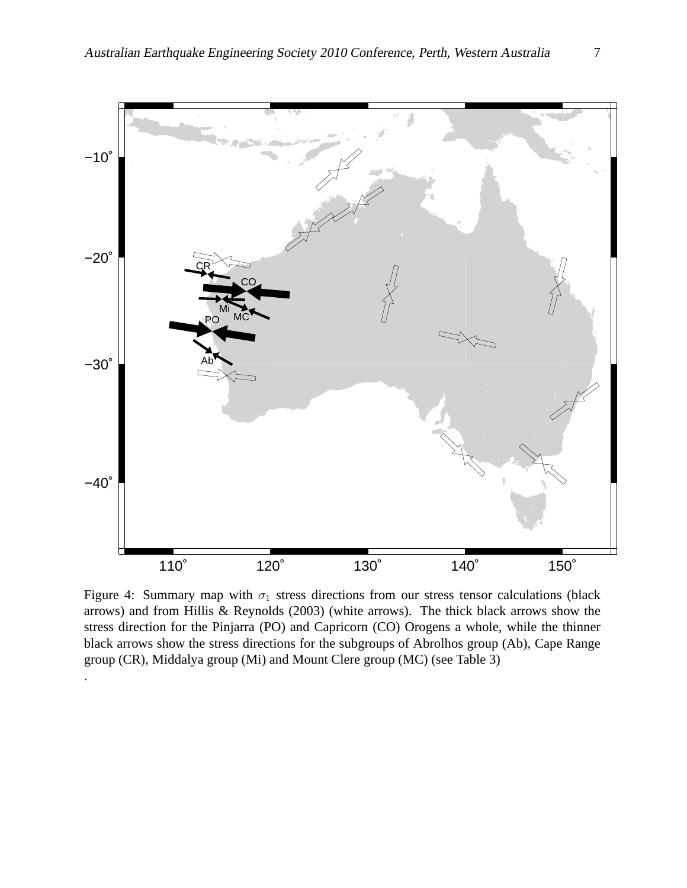

Figure 4: Summary map with  $\sigma_1$  stress directions from our stress tensor calculations (black arrows) and from Hillis & Reynolds (2003) (white arrows). The thick black arrows show the stress direction for the Pinjarra (PO) and Capricorn (CO) Orogens a whole, while the thinner black arrows show the stress directions for the subgroups of Abrolhos group (Ab), Cape Range group (CR), Middalya group (Mi) and Mount Clere group (MC) (see Table 3)

.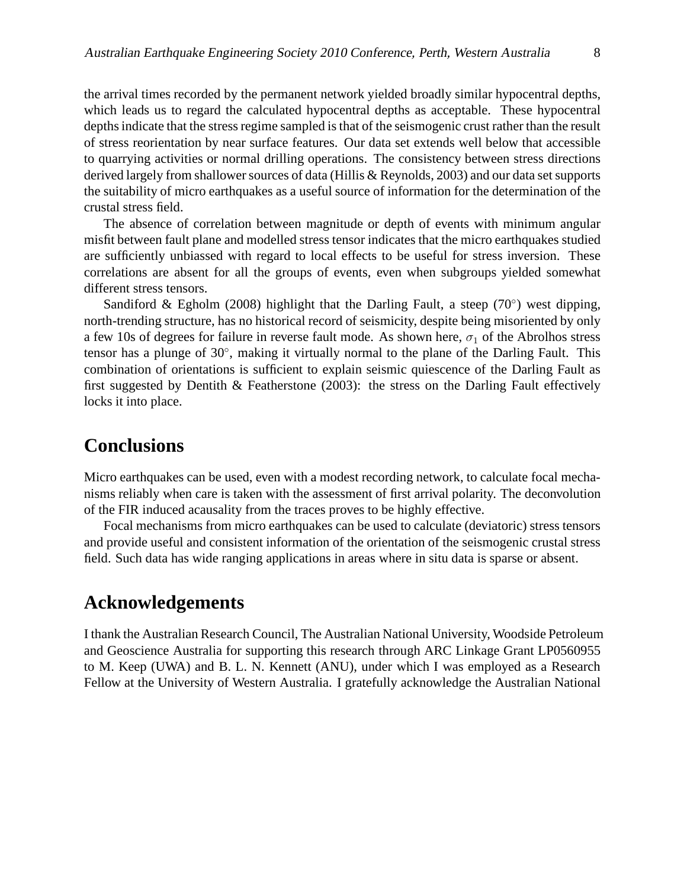the arrival times recorded by the permanent network yielded broadly similar hypocentral depths, which leads us to regard the calculated hypocentral depths as acceptable. These hypocentral depths indicate that the stress regime sampled is that of the seismogenic crust rather than the result of stress reorientation by near surface features. Our data set extends well below that accessible to quarrying activities or normal drilling operations. The consistency between stress directions derived largely from shallower sources of data (Hillis & Reynolds, 2003) and our data set supports the suitability of micro earthquakes as a useful source of information for the determination of the crustal stress field.

The absence of correlation between magnitude or depth of events with minimum angular misfit between fault plane and modelled stress tensor indicates that the micro earthquakes studied are sufficiently unbiassed with regard to local effects to be useful for stress inversion. These correlations are absent for all the groups of events, even when subgroups yielded somewhat different stress tensors.

Sandiford & Egholm (2008) highlight that the Darling Fault, a steep (70 $^{\circ}$ ) west dipping, north-trending structure, has no historical record of seismicity, despite being misoriented by only a few 10s of degrees for failure in reverse fault mode. As shown here,  $\sigma_1$  of the Abrolhos stress tensor has a plunge of 30°, making it virtually normal to the plane of the Darling Fault. This combination of orientations is sufficient to explain seismic quiescence of the Darling Fault as first suggested by Dentith & Featherstone (2003): the stress on the Darling Fault effectively locks it into place.

#### **Conclusions**

Micro earthquakes can be used, even with a modest recording network, to calculate focal mechanisms reliably when care is taken with the assessment of first arrival polarity. The deconvolution of the FIR induced acausality from the traces proves to be highly effective.

Focal mechanisms from micro earthquakes can be used to calculate (deviatoric) stress tensors and provide useful and consistent information of the orientation of the seismogenic crustal stress field. Such data has wide ranging applications in areas where in situ data is sparse or absent.

### **Acknowledgements**

I thank the Australian Research Council, The Australian National University, Woodside Petroleum and Geoscience Australia for supporting this research through ARC Linkage Grant LP0560955 to M. Keep (UWA) and B. L. N. Kennett (ANU), under which I was employed as a Research Fellow at the University of Western Australia. I gratefully acknowledge the Australian National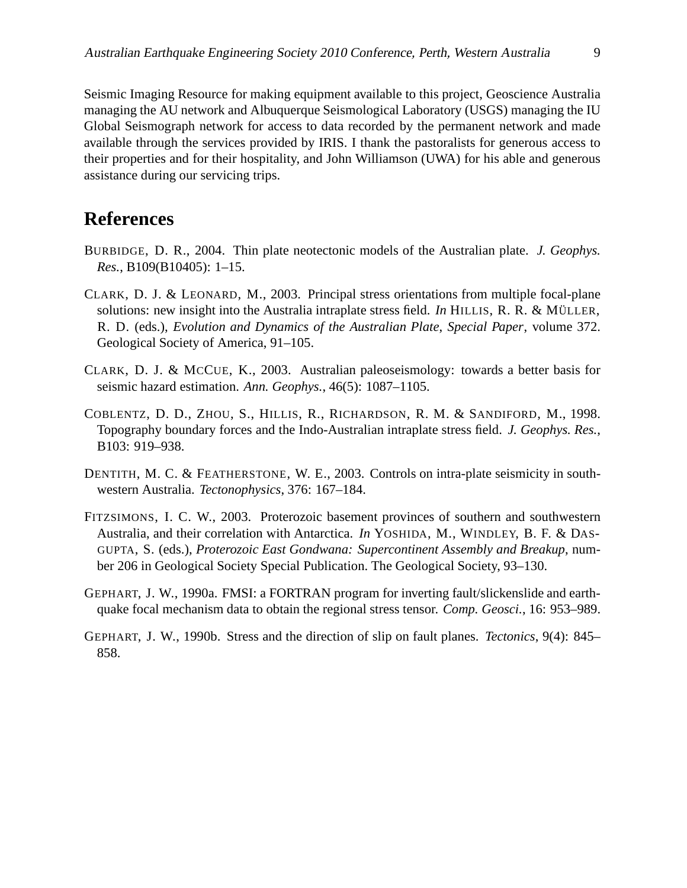Seismic Imaging Resource for making equipment available to this project, Geoscience Australia managing the AU network and Albuquerque Seismological Laboratory (USGS) managing the IU Global Seismograph network for access to data recorded by the permanent network and made available through the services provided by IRIS. I thank the pastoralists for generous access to their properties and for their hospitality, and John Williamson (UWA) for his able and generous assistance during our servicing trips.

## **References**

- BURBIDGE, D. R., 2004. Thin plate neotectonic models of the Australian plate. *J. Geophys. Res.*, B109(B10405): 1–15.
- CLARK, D. J. & LEONARD, M., 2003. Principal stress orientations from multiple focal-plane solutions: new insight into the Australia intraplate stress field. *In* HILLIS, R. R. & MÜLLER, R. D. (eds.), *Evolution and Dynamics of the Australian Plate*, *Special Paper*, volume 372. Geological Society of America, 91–105.
- CLARK, D. J. & MCCUE, K., 2003. Australian paleoseismology: towards a better basis for seismic hazard estimation. *Ann. Geophys.*, 46(5): 1087–1105.
- COBLENTZ, D. D., ZHOU, S., HILLIS, R., RICHARDSON, R. M. & SANDIFORD, M., 1998. Topography boundary forces and the Indo-Australian intraplate stress field. *J. Geophys. Res.*, B103: 919–938.
- DENTITH, M. C. & FEATHERSTONE, W. E., 2003. Controls on intra-plate seismicity in southwestern Australia. *Tectonophysics*, 376: 167–184.
- FITZSIMONS, I. C. W., 2003. Proterozoic basement provinces of southern and southwestern Australia, and their correlation with Antarctica. *In* YOSHIDA, M., WINDLEY, B. F. & DAS-GUPTA, S. (eds.), *Proterozoic East Gondwana: Supercontinent Assembly and Breakup*, number 206 in Geological Society Special Publication. The Geological Society, 93–130.
- GEPHART, J. W., 1990a. FMSI: a FORTRAN program for inverting fault/slickenslide and earthquake focal mechanism data to obtain the regional stress tensor. *Comp. Geosci.*, 16: 953–989.
- GEPHART, J. W., 1990b. Stress and the direction of slip on fault planes. *Tectonics*, 9(4): 845– 858.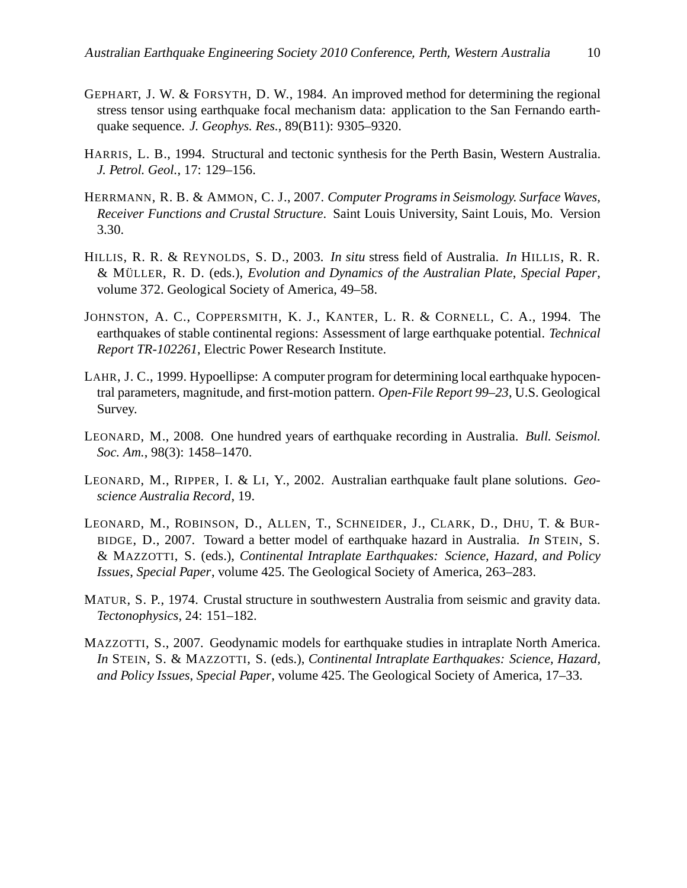- GEPHART, J. W. & FORSYTH, D. W., 1984. An improved method for determining the regional stress tensor using earthquake focal mechanism data: application to the San Fernando earthquake sequence. *J. Geophys. Res.*, 89(B11): 9305–9320.
- HARRIS, L. B., 1994. Structural and tectonic synthesis for the Perth Basin, Western Australia. *J. Petrol. Geol.*, 17: 129–156.
- HERRMANN, R. B. & AMMON, C. J., 2007. *Computer Programs in Seismology. Surface Waves, Receiver Functions and Crustal Structure*. Saint Louis University, Saint Louis, Mo. Version 3.30.
- HILLIS, R. R. & REYNOLDS, S. D., 2003. *In situ* stress field of Australia. *In* HILLIS, R. R. & MULLER ¨ , R. D. (eds.), *Evolution and Dynamics of the Australian Plate*, *Special Paper*, volume 372. Geological Society of America, 49–58.
- JOHNSTON, A. C., COPPERSMITH, K. J., KANTER, L. R. & CORNELL, C. A., 1994. The earthquakes of stable continental regions: Assessment of large earthquake potential. *Technical Report TR-102261*, Electric Power Research Institute.
- LAHR, J. C., 1999. Hypoellipse: A computer program for determining local earthquake hypocentral parameters, magnitude, and first-motion pattern. *Open-File Report 99–23*, U.S. Geological Survey.
- LEONARD, M., 2008. One hundred years of earthquake recording in Australia. *Bull. Seismol. Soc. Am.*, 98(3): 1458–1470.
- LEONARD, M., RIPPER, I. & LI, Y., 2002. Australian earthquake fault plane solutions. *Geoscience Australia Record*, 19.
- LEONARD, M., ROBINSON, D., ALLEN, T., SCHNEIDER, J., CLARK, D., DHU, T. & BUR-BIDGE, D., 2007. Toward a better model of earthquake hazard in Australia. *In* STEIN, S. & MAZZOTTI, S. (eds.), *Continental Intraplate Earthquakes: Science, Hazard, and Policy Issues*, *Special Paper*, volume 425. The Geological Society of America, 263–283.
- MATUR, S. P., 1974. Crustal structure in southwestern Australia from seismic and gravity data. *Tectonophysics*, 24: 151–182.
- MAZZOTTI, S., 2007. Geodynamic models for earthquake studies in intraplate North America. *In* STEIN, S. & MAZZOTTI, S. (eds.), *Continental Intraplate Earthquakes: Science, Hazard, and Policy Issues*, *Special Paper*, volume 425. The Geological Society of America, 17–33.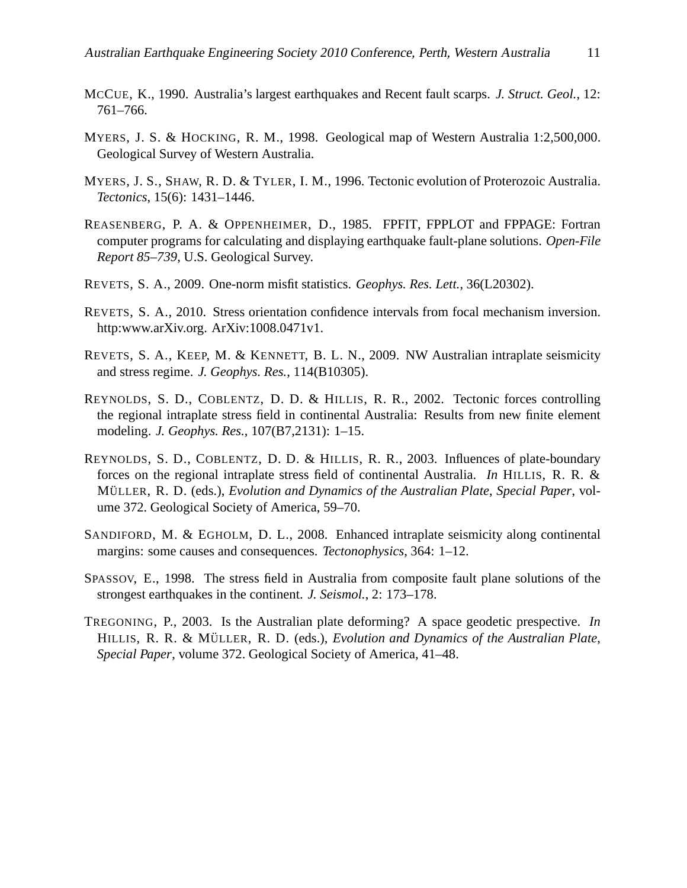- MCCUE, K., 1990. Australia's largest earthquakes and Recent fault scarps. *J. Struct. Geol.*, 12: 761–766.
- MYERS, J. S. & HOCKING, R. M., 1998. Geological map of Western Australia 1:2,500,000. Geological Survey of Western Australia.
- MYERS, J. S., SHAW, R. D. & TYLER, I. M., 1996. Tectonic evolution of Proterozoic Australia. *Tectonics*, 15(6): 1431–1446.
- REASENBERG, P. A. & OPPENHEIMER, D., 1985. FPFIT, FPPLOT and FPPAGE: Fortran computer programs for calculating and displaying earthquake fault-plane solutions. *Open-File Report 85–739*, U.S. Geological Survey.
- REVETS, S. A., 2009. One-norm misfit statistics. *Geophys. Res. Lett.*, 36(L20302).
- REVETS, S. A., 2010. Stress orientation confidence intervals from focal mechanism inversion. http:www.arXiv.org. ArXiv:1008.0471v1.
- REVETS, S. A., KEEP, M. & KENNETT, B. L. N., 2009. NW Australian intraplate seismicity and stress regime. *J. Geophys. Res.*, 114(B10305).
- REYNOLDS, S. D., COBLENTZ, D. D. & HILLIS, R. R., 2002. Tectonic forces controlling the regional intraplate stress field in continental Australia: Results from new finite element modeling. *J. Geophys. Res.*, 107(B7,2131): 1–15.
- REYNOLDS, S. D., COBLENTZ, D. D. & HILLIS, R. R., 2003. Influences of plate-boundary forces on the regional intraplate stress field of continental Australia. *In* HILLIS, R. R. & MÜLLER, R. D. (eds.), *Evolution and Dynamics of the Australian Plate*, *Special Paper*, volume 372. Geological Society of America, 59–70.
- SANDIFORD, M. & EGHOLM, D. L., 2008. Enhanced intraplate seismicity along continental margins: some causes and consequences. *Tectonophysics*, 364: 1–12.
- SPASSOV, E., 1998. The stress field in Australia from composite fault plane solutions of the strongest earthquakes in the continent. *J. Seismol.*, 2: 173–178.
- TREGONING, P., 2003. Is the Australian plate deforming? A space geodetic prespective. *In* HILLIS, R. R. & MÜLLER, R. D. (eds.), *Evolution and Dynamics of the Australian Plate*, *Special Paper*, volume 372. Geological Society of America, 41–48.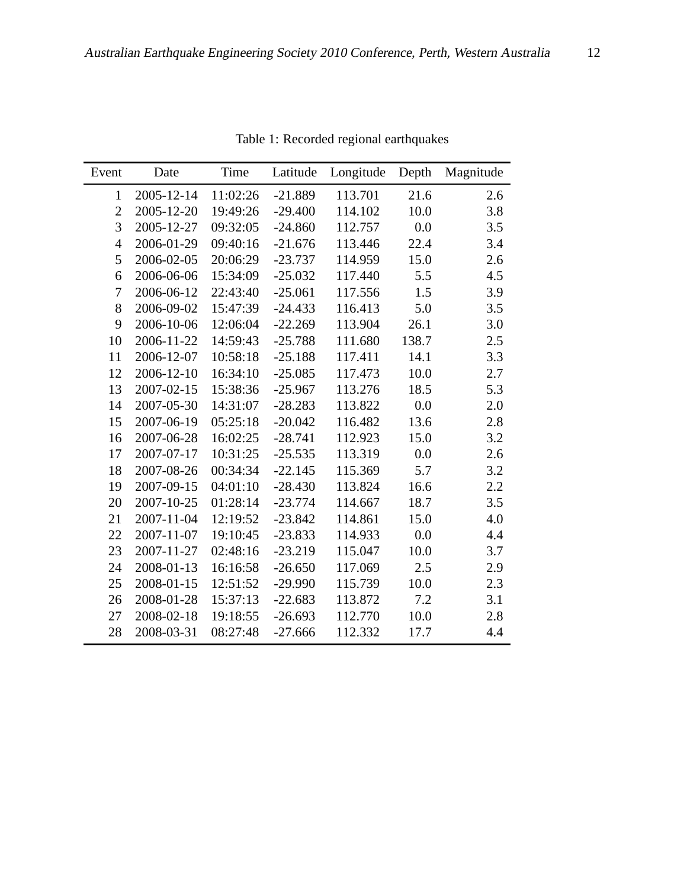| Event          | Date       | Time     | Latitude  | Longitude | Depth | Magnitude |  |
|----------------|------------|----------|-----------|-----------|-------|-----------|--|
| $\mathbf{1}$   | 2005-12-14 | 11:02:26 | $-21.889$ | 113.701   | 21.6  | 2.6       |  |
| $\overline{2}$ | 2005-12-20 | 19:49:26 | $-29.400$ | 114.102   | 10.0  | 3.8       |  |
| 3              | 2005-12-27 | 09:32:05 | $-24.860$ | 112.757   | 0.0   | 3.5       |  |
| $\overline{4}$ | 2006-01-29 | 09:40:16 | $-21.676$ | 113.446   | 22.4  | 3.4       |  |
| 5              | 2006-02-05 | 20:06:29 | $-23.737$ | 114.959   | 15.0  | 2.6       |  |
| 6              | 2006-06-06 | 15:34:09 | $-25.032$ | 117.440   | 5.5   | 4.5       |  |
| 7              | 2006-06-12 | 22:43:40 | $-25.061$ | 117.556   | 1.5   | 3.9       |  |
| 8              | 2006-09-02 | 15:47:39 | $-24.433$ | 116.413   | 5.0   | 3.5       |  |
| 9              | 2006-10-06 | 12:06:04 | $-22.269$ | 113.904   | 26.1  | 3.0       |  |
| 10             | 2006-11-22 | 14:59:43 | $-25.788$ | 111.680   | 138.7 | 2.5       |  |
| 11             | 2006-12-07 | 10:58:18 | $-25.188$ | 117.411   | 14.1  | 3.3       |  |
| 12             | 2006-12-10 | 16:34:10 | $-25.085$ | 117.473   | 10.0  | 2.7       |  |
| 13             | 2007-02-15 | 15:38:36 | $-25.967$ | 113.276   | 18.5  | 5.3       |  |
| 14             | 2007-05-30 | 14:31:07 | $-28.283$ | 113.822   | 0.0   | 2.0       |  |
| 15             | 2007-06-19 | 05:25:18 | $-20.042$ | 116.482   | 13.6  | 2.8       |  |
| 16             | 2007-06-28 | 16:02:25 | $-28.741$ | 112.923   | 15.0  | 3.2       |  |
| 17             | 2007-07-17 | 10:31:25 | $-25.535$ | 113.319   | 0.0   | 2.6       |  |
| 18             | 2007-08-26 | 00:34:34 | $-22.145$ | 115.369   | 5.7   | 3.2       |  |
| 19             | 2007-09-15 | 04:01:10 | $-28.430$ | 113.824   | 16.6  | 2.2       |  |
| 20             | 2007-10-25 | 01:28:14 | $-23.774$ | 114.667   | 18.7  | 3.5       |  |
| 21             | 2007-11-04 | 12:19:52 | $-23.842$ | 114.861   | 15.0  | 4.0       |  |
| 22             | 2007-11-07 | 19:10:45 | $-23.833$ | 114.933   | 0.0   | 4.4       |  |
| 23             | 2007-11-27 | 02:48:16 | $-23.219$ | 115.047   | 10.0  | 3.7       |  |
| 24             | 2008-01-13 | 16:16:58 | $-26.650$ | 117.069   | 2.5   | 2.9       |  |
| 25             | 2008-01-15 | 12:51:52 | $-29.990$ | 115.739   | 10.0  | 2.3       |  |
| 26             | 2008-01-28 | 15:37:13 | $-22.683$ | 113.872   | 7.2   | 3.1       |  |
| 27             | 2008-02-18 | 19:18:55 | $-26.693$ | 112.770   | 10.0  | 2.8       |  |
| 28             | 2008-03-31 | 08:27:48 | $-27.666$ | 112.332   | 17.7  | 4.4       |  |

Table 1: Recorded regional earthquakes